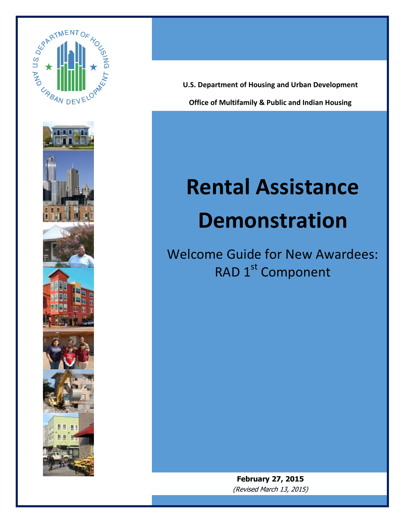



**Office of Multifamily & Public and Indian Housing U.S. Department of Housing and Urban Development** 

Welcome Guide

# **Rental Assistance Demonstration**

Welcome Guide for New Awardees: RAD 1<sup>st</sup> Component

> **February 27, 2015** (Revised March 13, 2015)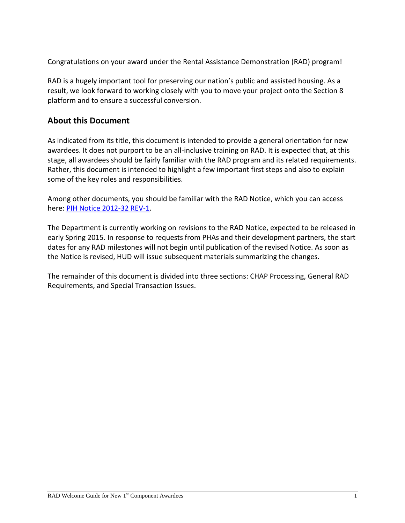Congratulations on your award under the Rental Assistance Demonstration (RAD) program!

RAD is a hugely important tool for preserving our nation's public and assisted housing. As a result, we look forward to working closely with you to move your project onto the Section 8 platform and to ensure a successful conversion.

#### **About this Document**

As indicated from its title, this document is intended to provide a general orientation for new awardees. It does not purport to be an all-inclusive training on RAD. It is expected that, at this stage, all awardees should be fairly familiar with the RAD program and its related requirements. Rather, this document is intended to highlight a few important first steps and also to explain some of the key roles and responsibilities.

Among other documents, you should be familiar with the RAD Notice, which you can access here: [PIH Notice 2012-32 REV-1.](http://portal.hud.gov/hudportal/documents/huddoc?id=pih2012-32rev1.pdf)

The Department is currently working on revisions to the RAD Notice, expected to be released in early Spring 2015. In response to requests from PHAs and their development partners, the start dates for any RAD milestones will not begin until publication of the revised Notice. As soon as the Notice is revised, HUD will issue subsequent materials summarizing the changes.

The remainder of this document is divided into three sections: CHAP Processing, General RAD Requirements, and Special Transaction Issues.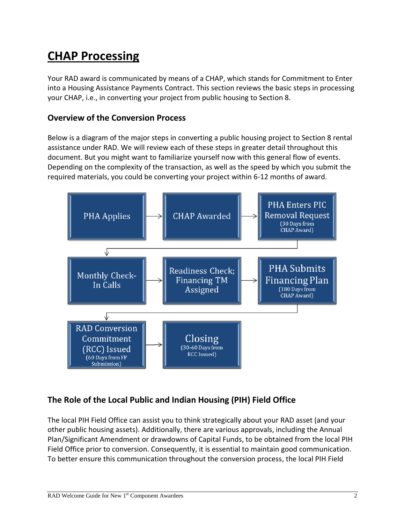# **CHAP Processing**

Your RAD award is communicated by means of a CHAP, which stands for Commitment to Enter into a Housing Assistance Payments Contract. This section reviews the basic steps in processing your CHAP, i.e., in converting your project from public housing to Section 8.

#### **Overview of the Conversion Process**

Below is a diagram of the major steps in converting a public housing project to Section 8 rental assistance under RAD. We will review each of these steps in greater detail throughout this document. But you might want to familiarize yourself now with this general flow of events. Depending on the complexity of the transaction, as well as the speed by which you submit the required materials, you could be converting your project within 6-12 months of award.



# **The Role of the Local Public and Indian Housing (PIH) Field Office**

The local PIH Field Office can assist you to think strategically about your RAD asset (and your other public housing assets). Additionally, there are various approvals, including the Annual Plan/Significant Amendment or drawdowns of Capital Funds, to be obtained from the local PIH Field Office prior to conversion. Consequently, it is essential to maintain good communication. To better ensure this communication throughout the conversion process, the local PIH Field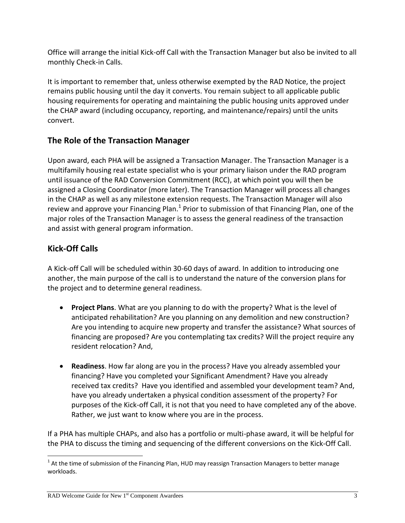Office will arrange the initial Kick-off Call with the Transaction Manager but also be invited to all monthly Check-in Calls.

It is important to remember that, unless otherwise exempted by the RAD Notice, the project remains public housing until the day it converts. You remain subject to all applicable public housing requirements for operating and maintaining the public housing units approved under the CHAP award (including occupancy, reporting, and maintenance/repairs) until the units convert.

# **The Role of the Transaction Manager**

Upon award, each PHA will be assigned a Transaction Manager. The Transaction Manager is a multifamily housing real estate specialist who is your primary liaison under the RAD program until issuance of the RAD Conversion Commitment (RCC), at which point you will then be assigned a Closing Coordinator (more later). The Transaction Manager will process all changes in the CHAP as well as any milestone extension requests. The Transaction Manager will also review and approve your Financing Plan.<sup>1</sup> Prior to submission of that Financing Plan, one of the major roles of the Transaction Manager is to assess the general readiness of the transaction and assist with general program information.

# **Kick-Off Calls**

A Kick-off Call will be scheduled within 30-60 days of award. In addition to introducing one another, the main purpose of the call is to understand the nature of the conversion plans for the project and to determine general readiness.

- **Project Plans**. What are you planning to do with the property? What is the level of anticipated rehabilitation? Are you planning on any demolition and new construction? Are you intending to acquire new property and transfer the assistance? What sources of financing are proposed? Are you contemplating tax credits? Will the project require any resident relocation? And,
- **Readiness**. How far along are you in the process? Have you already assembled your financing? Have you completed your Significant Amendment? Have you already received tax credits? Have you identified and assembled your development team? And, have you already undertaken a physical condition assessment of the property? For purposes of the Kick-off Call, it is not that you need to have completed any of the above. Rather, we just want to know where you are in the process.

If a PHA has multiple CHAPs, and also has a portfolio or multi-phase award, it will be helpful for the PHA to discuss the timing and sequencing of the different conversions on the Kick-Off Call.

l  $^{1}$  At the time of submission of the Financing Plan, HUD may reassign Transaction Managers to better manage workloads.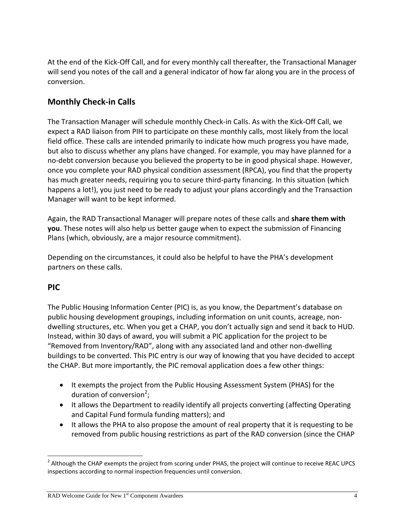At the end of the Kick-Off Call, and for every monthly call thereafter, the Transactional Manager will send you notes of the call and a general indicator of how far along you are in the process of conversion.

#### **Monthly Check-in Calls**

The Transaction Manager will schedule monthly Check-in Calls. As with the Kick-Off Call, we expect a RAD liaison from PIH to participate on these monthly calls, most likely from the local field office. These calls are intended primarily to indicate how much progress you have made, but also to discuss whether any plans have changed. For example, you may have planned for a no-debt conversion because you believed the property to be in good physical shape. However, once you complete your RAD physical condition assessment (RPCA), you find that the property has much greater needs, requiring you to secure third-party financing. In this situation (which happens a lot!), you just need to be ready to adjust your plans accordingly and the Transaction Manager will want to be kept informed.

Again, the RAD Transactional Manager will prepare notes of these calls and **share them with you**. These notes will also help us better gauge when to expect the submission of Financing Plans (which, obviously, are a major resource commitment).

Depending on the circumstances, it could also be helpful to have the PHA's development partners on these calls.

#### **PIC**

l

The Public Housing Information Center (PIC) is, as you know, the Department's database on public housing development groupings, including information on unit counts, acreage, nondwelling structures, etc. When you get a CHAP, you don't actually sign and send it back to HUD. Instead, within 30 days of award, you will submit a PIC application for the project to be "Removed from Inventory/RAD", along with any associated land and other non-dwelling buildings to be converted. This PIC entry is our way of knowing that you have decided to accept the CHAP. But more importantly, the PIC removal application does a few other things:

- It exempts the project from the Public Housing Assessment System (PHAS) for the duration of conversion<sup>2</sup>;
- It allows the Department to readily identify all projects converting (affecting Operating and Capital Fund formula funding matters); and
- It allows the PHA to also propose the amount of real property that it is requesting to be removed from public housing restrictions as part of the RAD conversion (since the CHAP

 $^2$  Although the CHAP exempts the project from scoring under PHAS, the project will continue to receive REAC UPCS inspections according to normal inspection frequencies until conversion.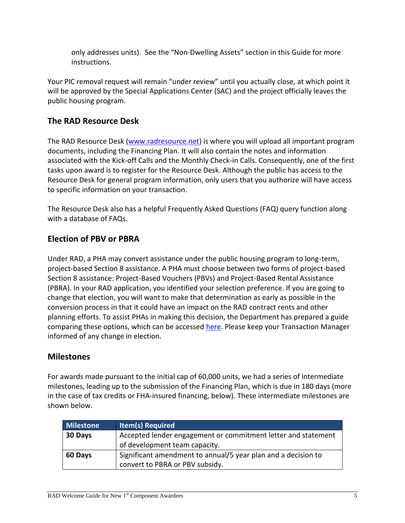only addresses units). See the "Non-Dwelling Assets" section in this Guide for more instructions.

Your PIC removal request will remain "under review" until you actually close, at which point it will be approved by the Special Applications Center (SAC) and the project officially leaves the public housing program.

#### **The RAD Resource Desk**

The RAD Resource Desk [\(www.radresource.net\)](http://www.radresource.net/) is where you will upload all important program documents, including the Financing Plan. It will also contain the notes and information associated with the Kick-off Calls and the Monthly Check-in Calls. Consequently, one of the first tasks upon award is to register for the Resource Desk. Although the public has access to the Resource Desk for general program information, only users that you authorize will have access to specific information on your transaction.

The Resource Desk also has a helpful Frequently Asked Questions (FAQ) query function along with a database of FAQs.

#### **Election of PBV or PBRA**

Under RAD, a PHA may convert assistance under the public housing program to long-term, project-based Section 8 assistance. A PHA must choose between two forms of project-based Section 8 assistance: Project-Based Vouchers (PBVs) and Project-Based Rental Assistance (PBRA). In your RAD application, you identified your selection preference. If you are going to change that election, you will want to make that determination as early as possible in the conversion process in that it could have an impact on the RAD contract rents and other planning efforts. To assist PHAs in making this decision, the Department has prepared a guide comparing these options, which can be accessed [here.](http://portal.hud.gov/hudportal/documents/huddoc?id=RAD_PBVPBRA_CompareGuide.pdf) Please keep your Transaction Manager informed of any change in election.

#### **Milestones**

For awards made pursuant to the initial cap of 60,000 units, we had a series of intermediate milestones, leading up to the submission of the Financing Plan, which is due in 180 days (more in the case of tax credits or FHA-insured financing, below). These intermediate milestones are shown below.

| Milestone | <b>Item(s) Required</b>                                       |
|-----------|---------------------------------------------------------------|
| 30 Days   | Accepted lender engagement or commitment letter and statement |
|           | of development team capacity.                                 |
| 60 Days   | Significant amendment to annual/5 year plan and a decision to |
|           | convert to PBRA or PBV subsidy.                               |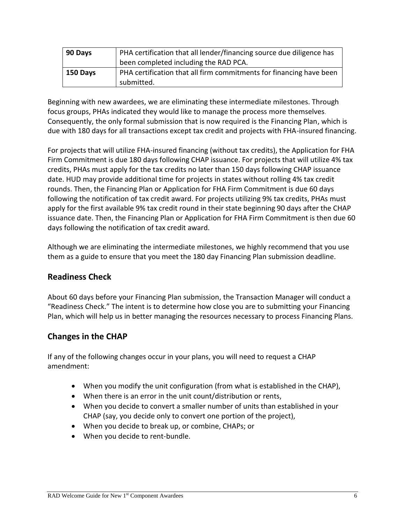| 90 Days  | PHA certification that all lender/financing source due diligence has<br>been completed including the RAD PCA. |
|----------|---------------------------------------------------------------------------------------------------------------|
| 150 Days | PHA certification that all firm commitments for financing have been<br>submitted.                             |

Beginning with new awardees, we are eliminating these intermediate milestones. Through focus groups, PHAs indicated they would like to manage the process more themselves. Consequently, the only formal submission that is now required is the Financing Plan, which is due with 180 days for all transactions except tax credit and projects with FHA-insured financing.

For projects that will utilize FHA-insured financing (without tax credits), the Application for FHA Firm Commitment is due 180 days following CHAP issuance. For projects that will utilize 4% tax credits, PHAs must apply for the tax credits no later than 150 days following CHAP issuance date. HUD may provide additional time for projects in states without rolling 4% tax credit rounds. Then, the Financing Plan or Application for FHA Firm Commitment is due 60 days following the notification of tax credit award. For projects utilizing 9% tax credits, PHAs must apply for the first available 9% tax credit round in their state beginning 90 days after the CHAP issuance date. Then, the Financing Plan or Application for FHA Firm Commitment is then due 60 days following the notification of tax credit award.

Although we are eliminating the intermediate milestones, we highly recommend that you use them as a guide to ensure that you meet the 180 day Financing Plan submission deadline.

#### **Readiness Check**

About 60 days before your Financing Plan submission, the Transaction Manager will conduct a "Readiness Check." The intent is to determine how close you are to submitting your Financing Plan, which will help us in better managing the resources necessary to process Financing Plans.

# **Changes in the CHAP**

If any of the following changes occur in your plans, you will need to request a CHAP amendment:

- When you modify the unit configuration (from what is established in the CHAP),
- When there is an error in the unit count/distribution or rents,
- When you decide to convert a smaller number of units than established in your CHAP (say, you decide only to convert one portion of the project),
- When you decide to break up, or combine, CHAPs; or
- When you decide to rent-bundle.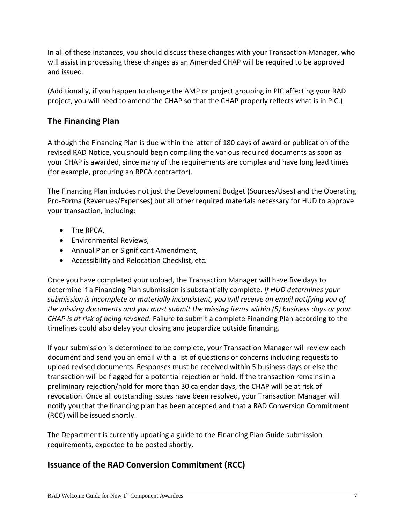In all of these instances, you should discuss these changes with your Transaction Manager, who will assist in processing these changes as an Amended CHAP will be required to be approved and issued.

(Additionally, if you happen to change the AMP or project grouping in PIC affecting your RAD project, you will need to amend the CHAP so that the CHAP properly reflects what is in PIC.)

### **The Financing Plan**

Although the Financing Plan is due within the latter of 180 days of award or publication of the revised RAD Notice, you should begin compiling the various required documents as soon as your CHAP is awarded, since many of the requirements are complex and have long lead times (for example, procuring an RPCA contractor).

The Financing Plan includes not just the Development Budget (Sources/Uses) and the Operating Pro-Forma (Revenues/Expenses) but all other required materials necessary for HUD to approve your transaction, including:

- The RPCA,
- Environmental Reviews,
- Annual Plan or Significant Amendment,
- Accessibility and Relocation Checklist, etc.

Once you have completed your upload, the Transaction Manager will have five days to determine if a Financing Plan submission is substantially complete. *If HUD determines your submission is incomplete or materially inconsistent, you will receive an email notifying you of the missing documents and you must submit the missing items within (5) business days or your CHAP is at risk of being revoked*. Failure to submit a complete Financing Plan according to the timelines could also delay your closing and jeopardize outside financing.

If your submission is determined to be complete, your Transaction Manager will review each document and send you an email with a list of questions or concerns including requests to upload revised documents. Responses must be received within 5 business days or else the transaction will be flagged for a potential rejection or hold. If the transaction remains in a preliminary rejection/hold for more than 30 calendar days, the CHAP will be at risk of revocation. Once all outstanding issues have been resolved, your Transaction Manager will notify you that the financing plan has been accepted and that a RAD Conversion Commitment (RCC) will be issued shortly.

The Department is currently updating a guide to the Financing Plan Guide submission requirements, expected to be posted shortly.

# **Issuance of the RAD Conversion Commitment (RCC)**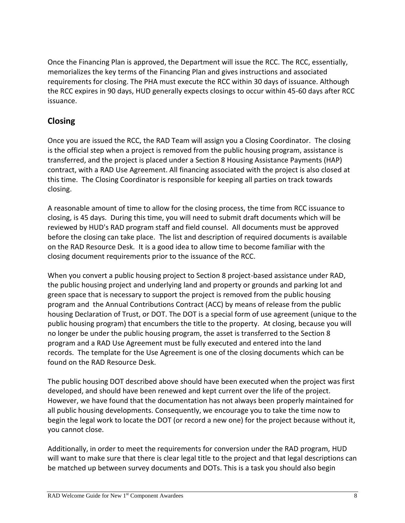Once the Financing Plan is approved, the Department will issue the RCC. The RCC, essentially, memorializes the key terms of the Financing Plan and gives instructions and associated requirements for closing. The PHA must execute the RCC within 30 days of issuance. Although the RCC expires in 90 days, HUD generally expects closings to occur within 45-60 days after RCC issuance.

# **Closing**

Once you are issued the RCC, the RAD Team will assign you a Closing Coordinator. The closing is the official step when a project is removed from the public housing program, assistance is transferred, and the project is placed under a Section 8 Housing Assistance Payments (HAP) contract, with a RAD Use Agreement. All financing associated with the project is also closed at this time. The Closing Coordinator is responsible for keeping all parties on track towards closing.

A reasonable amount of time to allow for the closing process, the time from RCC issuance to closing, is 45 days. During this time, you will need to submit draft documents which will be reviewed by HUD's RAD program staff and field counsel. All documents must be approved before the closing can take place. The list and description of required documents is available on the RAD Resource Desk. It is a good idea to allow time to become familiar with the closing document requirements prior to the issuance of the RCC.

When you convert a public housing project to Section 8 project-based assistance under RAD, the public housing project and underlying land and property or grounds and parking lot and green space that is necessary to support the project is removed from the public housing program and the Annual Contributions Contract (ACC) by means of release from the public housing Declaration of Trust, or DOT. The DOT is a special form of use agreement (unique to the public housing program) that encumbers the title to the property. At closing, because you will no longer be under the public housing program, the asset is transferred to the Section 8 program and a RAD Use Agreement must be fully executed and entered into the land records. The template for the Use Agreement is one of the closing documents which can be found on the RAD Resource Desk.

The public housing DOT described above should have been executed when the project was first developed, and should have been renewed and kept current over the life of the project. However, we have found that the documentation has not always been properly maintained for all public housing developments. Consequently, we encourage you to take the time now to begin the legal work to locate the DOT (or record a new one) for the project because without it, you cannot close.

Additionally, in order to meet the requirements for conversion under the RAD program, HUD will want to make sure that there is clear legal title to the project and that legal descriptions can be matched up between survey documents and DOTs. This is a task you should also begin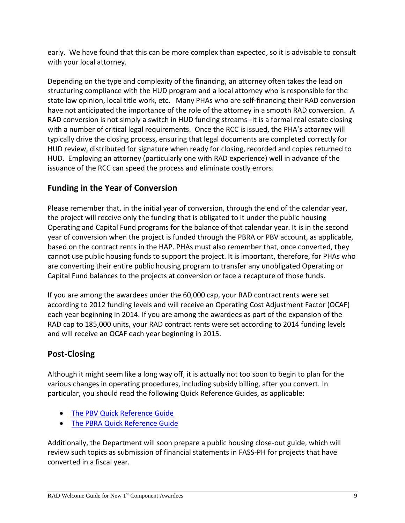early. We have found that this can be more complex than expected, so it is advisable to consult with your local attorney.

Depending on the type and complexity of the financing, an attorney often takes the lead on structuring compliance with the HUD program and a local attorney who is responsible for the state law opinion, local title work, etc. Many PHAs who are self-financing their RAD conversion have not anticipated the importance of the role of the attorney in a smooth RAD conversion. A RAD conversion is not simply a switch in HUD funding streams--it is a formal real estate closing with a number of critical legal requirements. Once the RCC is issued, the PHA's attorney will typically drive the closing process, ensuring that legal documents are completed correctly for HUD review, distributed for signature when ready for closing, recorded and copies returned to HUD. Employing an attorney (particularly one with RAD experience) well in advance of the issuance of the RCC can speed the process and eliminate costly errors.

#### **Funding in the Year of Conversion**

Please remember that, in the initial year of conversion, through the end of the calendar year, the project will receive only the funding that is obligated to it under the public housing Operating and Capital Fund programs for the balance of that calendar year. It is in the second year of conversion when the project is funded through the PBRA or PBV account, as applicable, based on the contract rents in the HAP. PHAs must also remember that, once converted, they cannot use public housing funds to support the project. It is important, therefore, for PHAs who are converting their entire public housing program to transfer any unobligated Operating or Capital Fund balances to the projects at conversion or face a recapture of those funds.

If you are among the awardees under the 60,000 cap, your RAD contract rents were set according to 2012 funding levels and will receive an Operating Cost Adjustment Factor (OCAF) each year beginning in 2014. If you are among the awardees as part of the expansion of the RAD cap to 185,000 units, your RAD contract rents were set according to 2014 funding levels and will receive an OCAF each year beginning in 2015.

# **Post-Closing**

Although it might seem like a long way off, it is actually not too soon to begin to plan for the various changes in operating procedures, including subsidy billing, after you convert. In particular, you should read the following Quick Reference Guides, as applicable:

- [The PBV Quick Reference Guide](http://portal.hud.gov/hudportal/documents/huddoc?id=RAD_PBV_Conversion.pdf)
- [The PBRA Quick Reference Guide](http://portal.hud.gov/hudportal/documents/huddoc?id=RAD_PBRAQuickRef.pdf)

Additionally, the Department will soon prepare a public housing close-out guide, which will review such topics as submission of financial statements in FASS-PH for projects that have converted in a fiscal year.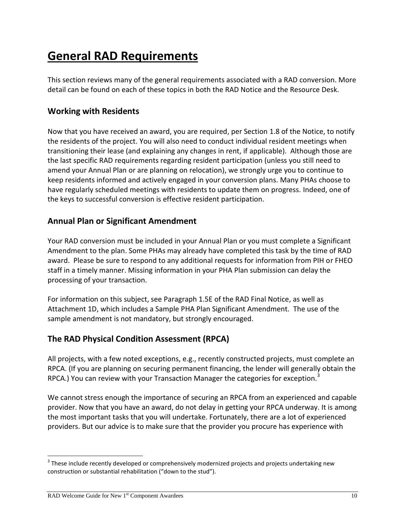# **General RAD Requirements**

This section reviews many of the general requirements associated with a RAD conversion. More detail can be found on each of these topics in both the RAD Notice and the Resource Desk.

#### **Working with Residents**

Now that you have received an award, you are required, per Section 1.8 of the Notice, to notify the residents of the project. You will also need to conduct individual resident meetings when transitioning their lease (and explaining any changes in rent, if applicable). Although those are the last specific RAD requirements regarding resident participation (unless you still need to amend your Annual Plan or are planning on relocation), we strongly urge you to continue to keep residents informed and actively engaged in your conversion plans. Many PHAs choose to have regularly scheduled meetings with residents to update them on progress. Indeed, one of the keys to successful conversion is effective resident participation.

#### **Annual Plan or Significant Amendment**

Your RAD conversion must be included in your Annual Plan or you must complete a Significant Amendment to the plan. Some PHAs may already have completed this task by the time of RAD award. Please be sure to respond to any additional requests for information from PIH or FHEO staff in a timely manner. Missing information in your PHA Plan submission can delay the processing of your transaction.

For information on this subject, see Paragraph 1.5E of the RAD Final Notice, as well as Attachment 1D, which includes a Sample PHA Plan Significant Amendment. The use of the sample amendment is not mandatory, but strongly encouraged.

# **The RAD Physical Condition Assessment (RPCA)**

All projects, with a few noted exceptions, e.g., recently constructed projects, must complete an RPCA. (If you are planning on securing permanent financing, the lender will generally obtain the RPCA.) You can review with your Transaction Manager the categories for exception.<sup>3</sup>

We cannot stress enough the importance of securing an RPCA from an experienced and capable provider. Now that you have an award, do not delay in getting your RPCA underway. It is among the most important tasks that you will undertake. Fortunately, there are a lot of experienced providers. But our advice is to make sure that the provider you procure has experience with

l

 $3$  These include recently developed or comprehensively modernized projects and projects undertaking new construction or substantial rehabilitation ("down to the stud").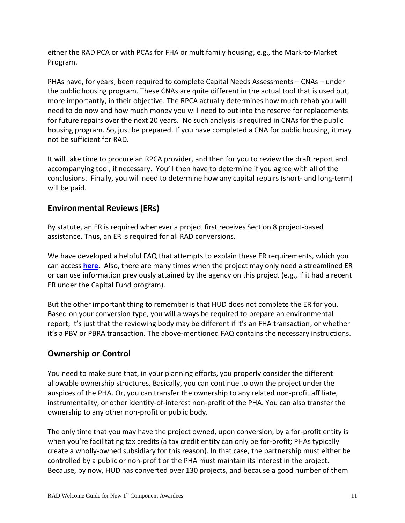either the RAD PCA or with PCAs for FHA or multifamily housing, e.g., the Mark-to-Market Program.

PHAs have, for years, been required to complete Capital Needs Assessments – CNAs – under the public housing program. These CNAs are quite different in the actual tool that is used but, more importantly, in their objective. The RPCA actually determines how much rehab you will need to do now and how much money you will need to put into the reserve for replacements for future repairs over the next 20 years. No such analysis is required in CNAs for the public housing program. So, just be prepared. If you have completed a CNA for public housing, it may not be sufficient for RAD.

It will take time to procure an RPCA provider, and then for you to review the draft report and accompanying tool, if necessary. You'll then have to determine if you agree with all of the conclusions. Finally, you will need to determine how any capital repairs (short- and long-term) will be paid.

# **Environmental Reviews (ERs)**

By statute, an ER is required whenever a project first receives Section 8 project-based assistance. Thus, an ER is required for all RAD conversions.

We have developed a helpful FAQ that attempts to explain these ER requirements, which you can access **[here.](http://portal.hud.gov/hudportal/documents/huddoc?id=RAD_ENVIRON_REVIEW_1STCOMP.PDF)** Also, there are many times when the project may only need a streamlined ER or can use information previously attained by the agency on this project (e.g., if it had a recent ER under the Capital Fund program).

But the other important thing to remember is that HUD does not complete the ER for you. Based on your conversion type, you will always be required to prepare an environmental report; it's just that the reviewing body may be different if it's an FHA transaction, or whether it's a PBV or PBRA transaction. The above-mentioned FAQ contains the necessary instructions.

# **Ownership or Control**

You need to make sure that, in your planning efforts, you properly consider the different allowable ownership structures. Basically, you can continue to own the project under the auspices of the PHA. Or, you can transfer the ownership to any related non-profit affiliate, instrumentality, or other identity-of-interest non-profit of the PHA. You can also transfer the ownership to any other non-profit or public body.

The only time that you may have the project owned, upon conversion, by a for-profit entity is when you're facilitating tax credits (a tax credit entity can only be for-profit; PHAs typically create a wholly-owned subsidiary for this reason). In that case, the partnership must either be controlled by a public or non-profit or the PHA must maintain its interest in the project. Because, by now, HUD has converted over 130 projects, and because a good number of them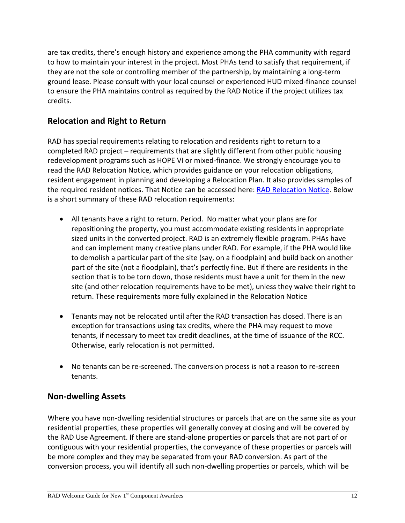are tax credits, there's enough history and experience among the PHA community with regard to how to maintain your interest in the project. Most PHAs tend to satisfy that requirement, if they are not the sole or controlling member of the partnership, by maintaining a long-term ground lease. Please consult with your local counsel or experienced HUD mixed-finance counsel to ensure the PHA maintains control as required by the RAD Notice if the project utilizes tax credits.

#### **Relocation and Right to Return**

RAD has special requirements relating to relocation and residents right to return to a completed RAD project – requirements that are slightly different from other public housing redevelopment programs such as HOPE VI or mixed-finance. We strongly encourage you to read the RAD Relocation Notice, which provides guidance on your relocation obligations, resident engagement in planning and developing a Relocation Plan. It also provides samples of the required resident notices. That Notice can be accessed here: [RAD Relocation Notice.](http://portal.hud.gov/hudportal/documents/huddoc?id=RAD_Notice2.pdf) Below is a short summary of these RAD relocation requirements:

- All tenants have a right to return. Period. No matter what your plans are for repositioning the property, you must accommodate existing residents in appropriate sized units in the converted project. RAD is an extremely flexible program. PHAs have and can implement many creative plans under RAD. For example, if the PHA would like to demolish a particular part of the site (say, on a floodplain) and build back on another part of the site (not a floodplain), that's perfectly fine. But if there are residents in the section that is to be torn down, those residents must have a unit for them in the new site (and other relocation requirements have to be met), unless they waive their right to return. These requirements more fully explained in the Relocation Notice
- Tenants may not be relocated until after the RAD transaction has closed. There is an exception for transactions using tax credits, where the PHA may request to move tenants, if necessary to meet tax credit deadlines, at the time of issuance of the RCC. Otherwise, early relocation is not permitted.
- No tenants can be re-screened. The conversion process is not a reason to re-screen tenants.

#### **Non-dwelling Assets**

Where you have non-dwelling residential structures or parcels that are on the same site as your residential properties, these properties will generally convey at closing and will be covered by the RAD Use Agreement. If there are stand-alone properties or parcels that are not part of or contiguous with your residential properties, the conveyance of these properties or parcels will be more complex and they may be separated from your RAD conversion. As part of the conversion process, you will identify all such non-dwelling properties or parcels, which will be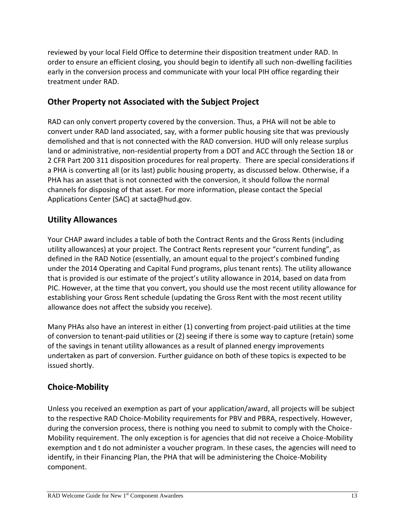reviewed by your local Field Office to determine their disposition treatment under RAD. In order to ensure an efficient closing, you should begin to identify all such non-dwelling facilities early in the conversion process and communicate with your local PIH office regarding their treatment under RAD.

#### **Other Property not Associated with the Subject Project**

RAD can only convert property covered by the conversion. Thus, a PHA will not be able to convert under RAD land associated, say, with a former public housing site that was previously demolished and that is not connected with the RAD conversion. HUD will only release surplus land or administrative, non-residential property from a DOT and ACC through the Section 18 or 2 CFR Part 200 311 disposition procedures for real property. There are special considerations if a PHA is converting all (or its last) public housing property, as discussed below. Otherwise, if a PHA has an asset that is not connected with the conversion, it should follow the normal channels for disposing of that asset. For more information, please contact the Special Applications Center (SAC) at sacta@hud.gov.

#### **Utility Allowances**

Your CHAP award includes a table of both the Contract Rents and the Gross Rents (including utility allowances) at your project. The Contract Rents represent your "current funding", as defined in the RAD Notice (essentially, an amount equal to the project's combined funding under the 2014 Operating and Capital Fund programs, plus tenant rents). The utility allowance that is provided is our estimate of the project's utility allowance in 2014, based on data from PIC. However, at the time that you convert, you should use the most recent utility allowance for establishing your Gross Rent schedule (updating the Gross Rent with the most recent utility allowance does not affect the subsidy you receive).

Many PHAs also have an interest in either (1) converting from project-paid utilities at the time of conversion to tenant-paid utilities or (2) seeing if there is some way to capture (retain) some of the savings in tenant utility allowances as a result of planned energy improvements undertaken as part of conversion. Further guidance on both of these topics is expected to be issued shortly.

# **Choice-Mobility**

Unless you received an exemption as part of your application/award, all projects will be subject to the respective RAD Choice-Mobility requirements for PBV and PBRA, respectively. However, during the conversion process, there is nothing you need to submit to comply with the Choice-Mobility requirement. The only exception is for agencies that did not receive a Choice-Mobility exemption and t do not administer a voucher program. In these cases, the agencies will need to identify, in their Financing Plan, the PHA that will be administering the Choice-Mobility component.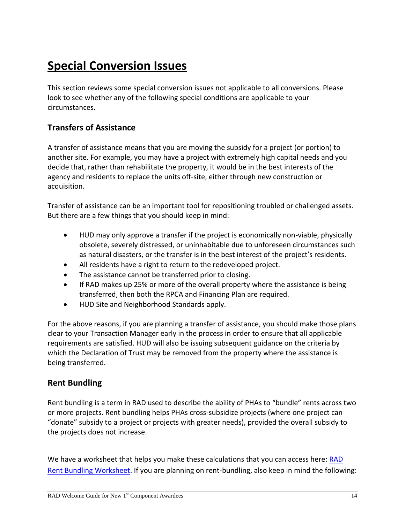# **Special Conversion Issues**

This section reviews some special conversion issues not applicable to all conversions. Please look to see whether any of the following special conditions are applicable to your circumstances.

#### **Transfers of Assistance**

A transfer of assistance means that you are moving the subsidy for a project (or portion) to another site. For example, you may have a project with extremely high capital needs and you decide that, rather than rehabilitate the property, it would be in the best interests of the agency and residents to replace the units off-site, either through new construction or acquisition.

Transfer of assistance can be an important tool for repositioning troubled or challenged assets. But there are a few things that you should keep in mind:

- HUD may only approve a transfer if the project is economically non-viable, physically obsolete, severely distressed, or uninhabitable due to unforeseen circumstances such as natural disasters, or the transfer is in the best interest of the project's residents.
- All residents have a right to return to the redeveloped project.
- The assistance cannot be transferred prior to closing.
- If RAD makes up 25% or more of the overall property where the assistance is being transferred, then both the RPCA and Financing Plan are required.
- HUD Site and Neighborhood Standards apply.

For the above reasons, if you are planning a transfer of assistance, you should make those plans clear to your Transaction Manager early in the process in order to ensure that all applicable requirements are satisfied. HUD will also be issuing subsequent guidance on the criteria by which the Declaration of Trust may be removed from the property where the assistance is being transferred.

#### **Rent Bundling**

Rent bundling is a term in RAD used to describe the ability of PHAs to "bundle" rents across two or more projects. Rent bundling helps PHAs cross-subsidize projects (where one project can "donate" subsidy to a project or projects with greater needs), provided the overall subsidy to the projects does not increase.

We have a worksheet that helps you make these calculations that you can access here: RAD [Rent Bundling Worksheet.](http://portal.hud.gov/huddoc/RADRentBundlingWorksheet.xlsx) If you are planning on rent-bundling, also keep in mind the following: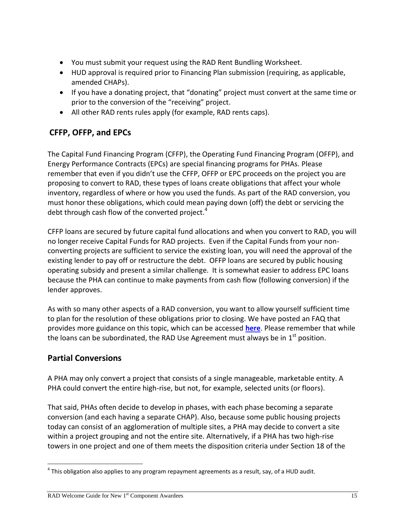- You must submit your request using the RAD Rent Bundling Worksheet.
- HUD approval is required prior to Financing Plan submission (requiring, as applicable, amended CHAPs).
- If you have a donating project, that "donating" project must convert at the same time or prior to the conversion of the "receiving" project.
- All other RAD rents rules apply (for example, RAD rents caps).

# **CFFP, OFFP, and EPCs**

The Capital Fund Financing Program (CFFP), the Operating Fund Financing Program (OFFP), and Energy Performance Contracts (EPCs) are special financing programs for PHAs. Please remember that even if you didn't use the CFFP, OFFP or EPC proceeds on the project you are proposing to convert to RAD, these types of loans create obligations that affect your whole inventory, regardless of where or how you used the funds. As part of the RAD conversion, you must honor these obligations, which could mean paying down (off) the debt or servicing the debt through cash flow of the converted project. $4$ 

CFFP loans are secured by future capital fund allocations and when you convert to RAD, you will no longer receive Capital Funds for RAD projects. Even if the Capital Funds from your nonconverting projects are sufficient to service the existing loan, you will need the approval of the existing lender to pay off or restructure the debt. OFFP loans are secured by public housing operating subsidy and present a similar challenge. It is somewhat easier to address EPC loans because the PHA can continue to make payments from cash flow (following conversion) if the lender approves.

As with so many other aspects of a RAD conversion, you want to allow yourself sufficient time to plan for the resolution of these obligations prior to closing. We have posted an FAQ that provides more guidance on this topic, which can be accessed **[here](http://www.radresource.net/question_output.cfm?id=WEB10182012_2_03080&type=w)**. Please remember that while the loans can be subordinated, the RAD Use Agreement must always be in  $1^{\text{st}}$  position.

# **Partial Conversions**

A PHA may only convert a project that consists of a single manageable, marketable entity. A PHA could convert the entire high-rise, but not, for example, selected units (or floors).

That said, PHAs often decide to develop in phases, with each phase becoming a separate conversion (and each having a separate CHAP). Also, because some public housing projects today can consist of an agglomeration of multiple sites, a PHA may decide to convert a site within a project grouping and not the entire site. Alternatively, if a PHA has two high-rise towers in one project and one of them meets the disposition criteria under Section 18 of the

 $\overline{\phantom{a}}$  $^{4}$  This obligation also applies to any program repayment agreements as a result, say, of a HUD audit.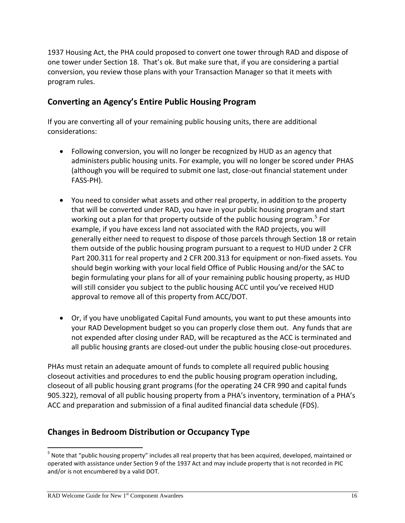1937 Housing Act, the PHA could proposed to convert one tower through RAD and dispose of one tower under Section 18. That's ok. But make sure that, if you are considering a partial conversion, you review those plans with your Transaction Manager so that it meets with program rules.

#### **Converting an Agency's Entire Public Housing Program**

If you are converting all of your remaining public housing units, there are additional considerations:

- Following conversion, you will no longer be recognized by HUD as an agency that administers public housing units. For example, you will no longer be scored under PHAS (although you will be required to submit one last, close-out financial statement under FASS-PH).
- You need to consider what assets and other real property, in addition to the property that will be converted under RAD, you have in your public housing program and start working out a plan for that property outside of the public housing program.<sup>5</sup> For example, if you have excess land not associated with the RAD projects, you will generally either need to request to dispose of those parcels through Section 18 or retain them outside of the public housing program pursuant to a request to HUD under 2 CFR Part 200.311 for real property and 2 CFR 200.313 for equipment or non-fixed assets. You should begin working with your local field Office of Public Housing and/or the SAC to begin formulating your plans for all of your remaining public housing property, as HUD will still consider you subject to the public housing ACC until you've received HUD approval to remove all of this property from ACC/DOT.
- Or, if you have unobligated Capital Fund amounts, you want to put these amounts into your RAD Development budget so you can properly close them out. Any funds that are not expended after closing under RAD, will be recaptured as the ACC is terminated and all public housing grants are closed-out under the public housing close-out procedures.

PHAs must retain an adequate amount of funds to complete all required public housing closeout activities and procedures to end the public housing program operation including, closeout of all public housing grant programs (for the operating 24 CFR 990 and capital funds 905.322), removal of all public housing property from a PHA's inventory, termination of a PHA's ACC and preparation and submission of a final audited financial data schedule (FDS).

#### **Changes in Bedroom Distribution or Occupancy Type**

 $\overline{\phantom{a}}$ <sup>5</sup> Note that "public housing property" includes all real property that has been acquired, developed, maintained or operated with assistance under Section 9 of the 1937 Act and may include property that is not recorded in PIC and/or is not encumbered by a valid DOT.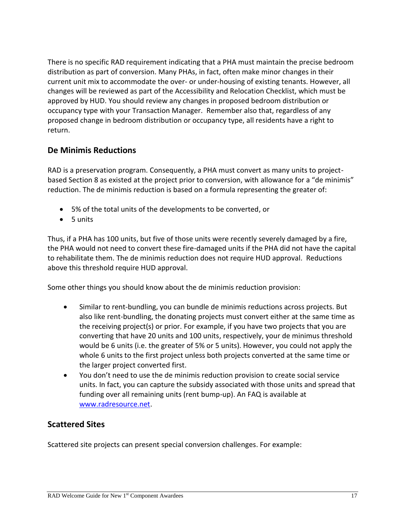There is no specific RAD requirement indicating that a PHA must maintain the precise bedroom distribution as part of conversion. Many PHAs, in fact, often make minor changes in their current unit mix to accommodate the over- or under-housing of existing tenants. However, all changes will be reviewed as part of the Accessibility and Relocation Checklist, which must be approved by HUD. You should review any changes in proposed bedroom distribution or occupancy type with your Transaction Manager. Remember also that, regardless of any proposed change in bedroom distribution or occupancy type, all residents have a right to return.

#### **De Minimis Reductions**

RAD is a preservation program. Consequently, a PHA must convert as many units to projectbased Section 8 as existed at the project prior to conversion, with allowance for a "de minimis" reduction. The de minimis reduction is based on a formula representing the greater of:

- 5% of the total units of the developments to be converted, or
- $\bullet$  5 units

Thus, if a PHA has 100 units, but five of those units were recently severely damaged by a fire, the PHA would not need to convert these fire-damaged units if the PHA did not have the capital to rehabilitate them. The de minimis reduction does not require HUD approval. Reductions above this threshold require HUD approval.

Some other things you should know about the de minimis reduction provision:

- Similar to rent-bundling, you can bundle de minimis reductions across projects. But also like rent-bundling, the donating projects must convert either at the same time as the receiving project(s) or prior. For example, if you have two projects that you are converting that have 20 units and 100 units, respectively, your de minimus threshold would be 6 units (i.e. the greater of 5% or 5 units). However, you could not apply the whole 6 units to the first project unless both projects converted at the same time or the larger project converted first.
- You don't need to use the de minimis reduction provision to create social service units. In fact, you can capture the subsidy associated with those units and spread that funding over all remaining units (rent bump-up). An FAQ is available at [www.radresource.net.](http://www.radresource.net/)

#### **Scattered Sites**

Scattered site projects can present special conversion challenges. For example: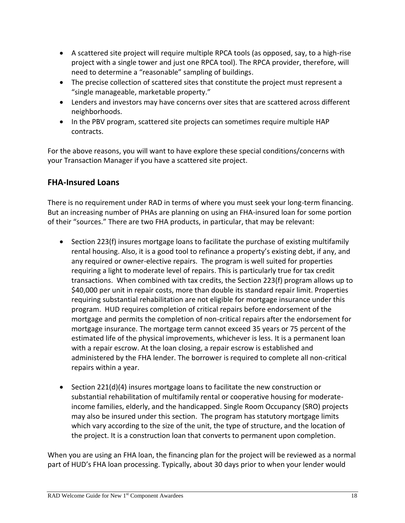- A scattered site project will require multiple RPCA tools (as opposed, say, to a high-rise project with a single tower and just one RPCA tool). The RPCA provider, therefore, will need to determine a "reasonable" sampling of buildings.
- The precise collection of scattered sites that constitute the project must represent a "single manageable, marketable property."
- Lenders and investors may have concerns over sites that are scattered across different neighborhoods.
- In the PBV program, scattered site projects can sometimes require multiple HAP contracts.

For the above reasons, you will want to have explore these special conditions/concerns with your Transaction Manager if you have a scattered site project.

#### **FHA-Insured Loans**

There is no requirement under RAD in terms of where you must seek your long-term financing. But an increasing number of PHAs are planning on using an FHA-insured loan for some portion of their "sources." There are two FHA products, in particular, that may be relevant:

- $\bullet$  Section 223(f) insures mortgage loans to facilitate the purchase of existing multifamily rental housing. Also, it is a good tool to refinance a property's existing debt, if any, and any required or owner-elective repairs. The program is well suited for properties requiring a light to moderate level of repairs. This is particularly true for tax credit transactions. When combined with tax credits, the Section 223(f) program allows up to \$40,000 per unit in repair costs, more than double its standard repair limit. Properties requiring substantial rehabilitation are not eligible for mortgage insurance under this program. HUD requires completion of critical repairs before endorsement of the mortgage and permits the completion of non-critical repairs after the endorsement for mortgage insurance. The mortgage term cannot exceed 35 years or 75 percent of the estimated life of the physical improvements, whichever is less. It is a permanent loan with a repair escrow. At the loan closing, a repair escrow is established and administered by the FHA lender. The borrower is required to complete all non-critical repairs within a year.
- **Section 221(d)(4) insures mortgage loans to facilitate the new construction or** substantial rehabilitation of multifamily rental or cooperative housing for moderateincome families, elderly, and the handicapped. Single Room Occupancy (SRO) projects may also be insured under this section. The program has statutory mortgage limits which vary according to the size of the unit, the type of structure, and the location of the project. It is a construction loan that converts to permanent upon completion.

When you are using an FHA loan, the financing plan for the project will be reviewed as a normal part of HUD's FHA loan processing. Typically, about 30 days prior to when your lender would